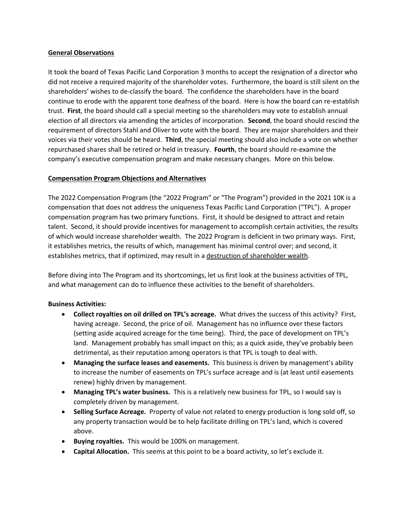### **General Observations**

It took the board of Texas Pacific Land Corporation 3 months to accept the resignation of a director who did not receive a required majority of the shareholder votes. Furthermore, the board is still silent on the shareholders' wishes to de-classify the board. The confidence the shareholders have in the board continue to erode with the apparent tone deafness of the board. Here is how the board can re-establish trust. **First**, the board should call a special meeting so the shareholders may vote to establish annual election of all directors via amending the articles of incorporation. **Second**, the board should rescind the requirement of directors Stahl and Oliver to vote with the board. They are major shareholders and their voices via their votes should be heard. **Third**, the special meeting should also include a vote on whether repurchased shares shall be retired or held in treasury. **Fourth**, the board should re-examine the company's executive compensation program and make necessary changes. More on this below.

### **Compensation Program Objections and Alternatives**

The 2022 Compensation Program (the "2022 Program" or "The Program") provided in the 2021 10K is a compensation that does not address the uniqueness Texas Pacific Land Corporation ("TPL"). A proper compensation program has two primary functions. First, it should be designed to attract and retain talent. Second, it should provide incentives for management to accomplish certain activities, the results of which would increase shareholder wealth. The 2022 Program is deficient in two primary ways. First, it establishes metrics, the results of which, management has minimal control over; and second, it establishes metrics, that if optimized, may result in a destruction of shareholder wealth.

Before diving into The Program and its shortcomings, let us first look at the business activities of TPL, and what management can do to influence these activities to the benefit of shareholders.

### **Business Activities:**

- **Collect royalties on oil drilled on TPL's acreage.** What drives the success of this activity? First, having acreage. Second, the price of oil. Management has no influence over these factors (setting aside acquired acreage for the time being). Third, the pace of development on TPL's land. Management probably has small impact on this; as a quick aside, they've probably been detrimental, as their reputation among operators is that TPL is tough to deal with.
- **Managing the surface leases and easements.** This business is driven by management's ability to increase the number of easements on TPL's surface acreage and is (at least until easements renew) highly driven by management.
- **Managing TPL's water business.** This is a relatively new business for TPL, so I would say is completely driven by management.
- **Selling Surface Acreage.** Property of value not related to energy production is long sold off, so any property transaction would be to help facilitate drilling on TPL's land, which is covered above.
- **Buying royalties.** This would be 100% on management.
- **Capital Allocation.** This seems at this point to be a board activity, so let's exclude it.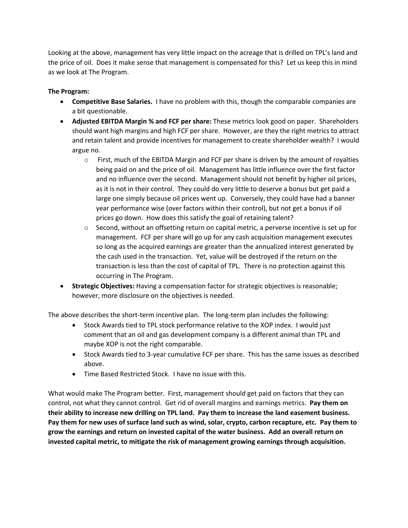Looking at the above, management has very little impact on the acreage that is drilled on TPL's land and the price of oil. Does it make sense that management is compensated for this? Let us keep this in mind as we look at The Program.

# **The Program:**

- **Competitive Base Salaries.** I have no problem with this, though the comparable companies are a bit questionable.
- **Adjusted EBITDA Margin % and FCF per share:** These metrics look good on paper. Shareholders should want high margins and high FCF per share. However, are they the right metrics to attract and retain talent and provide incentives for management to create shareholder wealth? I would argue no.
	- $\circ$  First, much of the EBITDA Margin and FCF per share is driven by the amount of royalties being paid on and the price of oil. Management has little influence over the first factor and no influence over the second. Management should not benefit by higher oil prices, as it is not in their control. They could do very little to deserve a bonus but get paid a large one simply because oil prices went up. Conversely, they could have had a banner year performance wise (over factors within their control), but not get a bonus if oil prices go down. How does this satisfy the goal of retaining talent?
	- $\circ$  Second, without an offsetting return on capital metric, a perverse incentive is set up for management. FCF per share will go up for any cash acquisition management executes so long as the acquired earnings are greater than the annualized interest generated by the cash used in the transaction. Yet, value will be destroyed if the return on the transaction is less than the cost of capital of TPL. There is no protection against this occurring in The Program.
- **Strategic Objectives:** Having a compensation factor for strategic objectives is reasonable; however, more disclosure on the objectives is needed.

The above describes the short-term incentive plan. The long-term plan includes the following:

- Stock Awards tied to TPL stock performance relative to the XOP index. I would just comment that an oil and gas development company is a different animal than TPL and maybe XOP is not the right comparable.
- Stock Awards tied to 3-year cumulative FCF per share. This has the same issues as described above.
- Time Based Restricted Stock. I have no issue with this.

What would make The Program better. First, management should get paid on factors that they can control, not what they cannot control. Get rid of overall margins and earnings metrics. **Pay them on their ability to increase new drilling on TPL land. Pay them to increase the land easement business. Pay them for new uses of surface land such as wind, solar, crypto, carbon recapture, etc. Pay them to grow the earnings and return on invested capital of the water business. Add an overall return on invested capital metric, to mitigate the risk of management growing earnings through acquisition.**